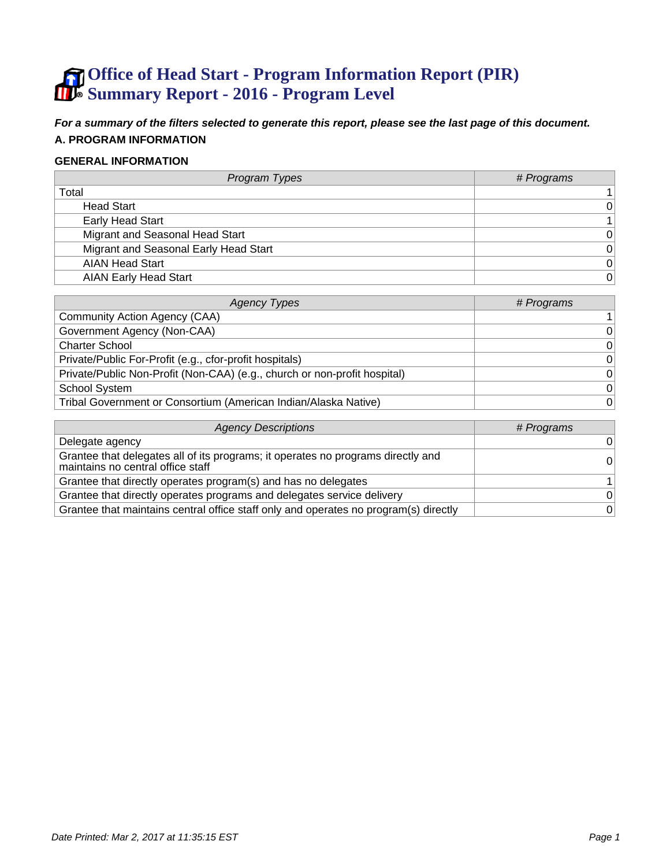# **Office of Head Start - Program Information Report (PIR) Summary Report - 2016 - Program Level**

**For a summary of the filters selected to generate this report, please see the last page of this document. A. PROGRAM INFORMATION**

#### **GENERAL INFORMATION**

| Program Types                         | # Programs     |
|---------------------------------------|----------------|
| Total                                 |                |
| <b>Head Start</b>                     | $\Omega$       |
| <b>Early Head Start</b>               |                |
| Migrant and Seasonal Head Start       | $\Omega$       |
| Migrant and Seasonal Early Head Start | $\Omega$       |
| <b>AIAN Head Start</b>                | 0              |
| <b>AIAN Early Head Start</b>          | $\overline{0}$ |

| Agency Types                                                              | # Programs     |
|---------------------------------------------------------------------------|----------------|
| Community Action Agency (CAA)                                             |                |
| Government Agency (Non-CAA)                                               | $\overline{0}$ |
| <b>Charter School</b>                                                     | $\overline{0}$ |
| Private/Public For-Profit (e.g., cfor-profit hospitals)                   | $\overline{0}$ |
| Private/Public Non-Profit (Non-CAA) (e.g., church or non-profit hospital) | $\overline{0}$ |
| <b>School System</b>                                                      | $\overline{0}$ |
| Tribal Government or Consortium (American Indian/Alaska Native)           | $\overline{0}$ |

| <b>Agency Descriptions</b>                                                                                            | # Programs |
|-----------------------------------------------------------------------------------------------------------------------|------------|
| Delegate agency                                                                                                       | $\Omega$   |
| Grantee that delegates all of its programs; it operates no programs directly and<br>maintains no central office staff | 0          |
| Grantee that directly operates program(s) and has no delegates                                                        |            |
| Grantee that directly operates programs and delegates service delivery                                                | $\Omega$   |
| Grantee that maintains central office staff only and operates no program(s) directly                                  | 0          |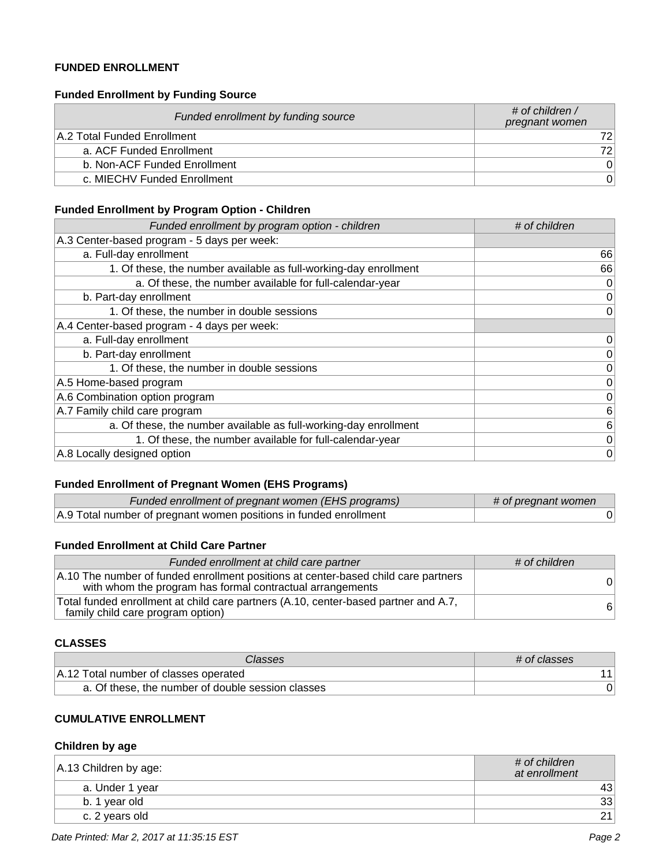### **FUNDED ENROLLMENT**

#### **Funded Enrollment by Funding Source**

| Funded enrollment by funding source | # of children /<br>pregnant women |
|-------------------------------------|-----------------------------------|
| A.2 Total Funded Enrollment         | 721                               |
| a. ACF Funded Enrollment            | 721                               |
| b. Non-ACF Funded Enrollment        | $\Omega$                          |
| c. MIECHV Funded Enrollment         | 0                                 |

### **Funded Enrollment by Program Option - Children**

| Funded enrollment by program option - children                   | # of children   |
|------------------------------------------------------------------|-----------------|
| A.3 Center-based program - 5 days per week:                      |                 |
| a. Full-day enrollment                                           | 66              |
| 1. Of these, the number available as full-working-day enrollment | 66              |
| a. Of these, the number available for full-calendar-year         | 0               |
| b. Part-day enrollment                                           | $\vert 0 \vert$ |
| 1. Of these, the number in double sessions                       | 0               |
| A.4 Center-based program - 4 days per week:                      |                 |
| a. Full-day enrollment                                           | 0               |
| b. Part-day enrollment                                           | $\vert 0 \vert$ |
| 1. Of these, the number in double sessions                       | $\vert 0 \vert$ |
| A.5 Home-based program                                           | 0               |
| A.6 Combination option program                                   | $\vert 0 \vert$ |
| A.7 Family child care program                                    | $6 \mid$        |
| a. Of these, the number available as full-working-day enrollment | 6               |
| 1. Of these, the number available for full-calendar-year         | 0               |
| A.8 Locally designed option                                      | 0               |

# **Funded Enrollment of Pregnant Women (EHS Programs)**

| Funded enrollment of pregnant women (EHS programs)                | # of pregnant women |
|-------------------------------------------------------------------|---------------------|
| A.9 Total number of pregnant women positions in funded enrollment |                     |

### **Funded Enrollment at Child Care Partner**

| Funded enrollment at child care partner                                                                                                         | # of children |
|-------------------------------------------------------------------------------------------------------------------------------------------------|---------------|
| A.10 The number of funded enrollment positions at center-based child care partners<br>with whom the program has formal contractual arrangements | $\Omega$      |
| Total funded enrollment at child care partners (A.10, center-based partner and A.7,<br>family child care program option)                        | -61           |

#### **CLASSES**

| Classes                                           | # of classes |
|---------------------------------------------------|--------------|
| A.12 Total number of classes operated             |              |
| a. Of these, the number of double session classes |              |

# **CUMULATIVE ENROLLMENT**

#### **Children by age**

| $ A.13$ Children by age: | # of children<br>at enrollment |
|--------------------------|--------------------------------|
| a. Under 1 year          | 43                             |
| b. 1 year old            | 33                             |
| c. 2 years old           | 21                             |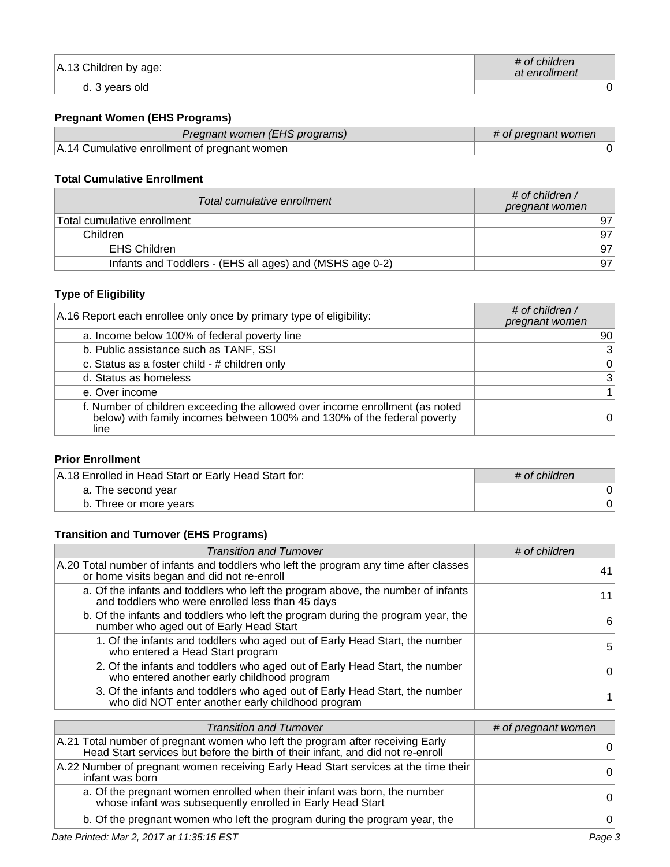| A.13 Children by age: | # of children<br>at enrollment |
|-----------------------|--------------------------------|
| vears old<br>d. 3     | J'                             |

# **Pregnant Women (EHS Programs)**

| Pregnant women (EHS programs)                | # of pregnant women |
|----------------------------------------------|---------------------|
| A.14 Cumulative enrollment of pregnant women |                     |

### **Total Cumulative Enrollment**

| Total cumulative enrollment                              | # of children /<br>pregnant women |
|----------------------------------------------------------|-----------------------------------|
| Total cumulative enrollment                              | 97                                |
| Children                                                 | 97                                |
| EHS Children                                             | 97                                |
| Infants and Toddlers - (EHS all ages) and (MSHS age 0-2) | 97                                |

# **Type of Eligibility**

| A.16 Report each enrollee only once by primary type of eligibility:                                                                                             | # of children $/$<br>pregnant women |
|-----------------------------------------------------------------------------------------------------------------------------------------------------------------|-------------------------------------|
| a. Income below 100% of federal poverty line                                                                                                                    | 90                                  |
| b. Public assistance such as TANF, SSI                                                                                                                          | 3 <sup>1</sup>                      |
| c. Status as a foster child - # children only                                                                                                                   | 0                                   |
| d. Status as homeless                                                                                                                                           | 3 <sup>2</sup>                      |
| e. Over income                                                                                                                                                  |                                     |
| f. Number of children exceeding the allowed over income enrollment (as noted<br>below) with family incomes between 100% and 130% of the federal poverty<br>line | 0                                   |

### **Prior Enrollment**

| A.18 Enrolled in Head Start or Early Head Start for: | $\#$ of children |
|------------------------------------------------------|------------------|
| a. The second year                                   |                  |
| b. Three or more years                               |                  |

# **Transition and Turnover (EHS Programs)**

| <b>Transition and Turnover</b>                                                                                                       | # of children |
|--------------------------------------------------------------------------------------------------------------------------------------|---------------|
| A.20 Total number of infants and toddlers who left the program any time after classes<br>or home visits began and did not re-enroll  |               |
| a. Of the infants and toddlers who left the program above, the number of infants<br>and toddlers who were enrolled less than 45 days |               |
| b. Of the infants and toddlers who left the program during the program year, the<br>number who aged out of Early Head Start          | 6             |
| 1. Of the infants and toddlers who aged out of Early Head Start, the number<br>who entered a Head Start program                      | 5             |
| 2. Of the infants and toddlers who aged out of Early Head Start, the number<br>who entered another early childhood program           | 0             |
| 3. Of the infants and toddlers who aged out of Early Head Start, the number<br>who did NOT enter another early childhood program     |               |

| <b>Transition and Turnover</b>                                                                                                                                    | # of pregnant women |
|-------------------------------------------------------------------------------------------------------------------------------------------------------------------|---------------------|
| A.21 Total number of pregnant women who left the program after receiving Early<br>Head Start services but before the birth of their infant, and did not re-enroll | O                   |
| A.22 Number of pregnant women receiving Early Head Start services at the time their<br>infant was born                                                            | 0                   |
| a. Of the pregnant women enrolled when their infant was born, the number whose infant was subsequently enrolled in Early Head Start                               | O                   |
| b. Of the pregnant women who left the program during the program year, the                                                                                        | 0                   |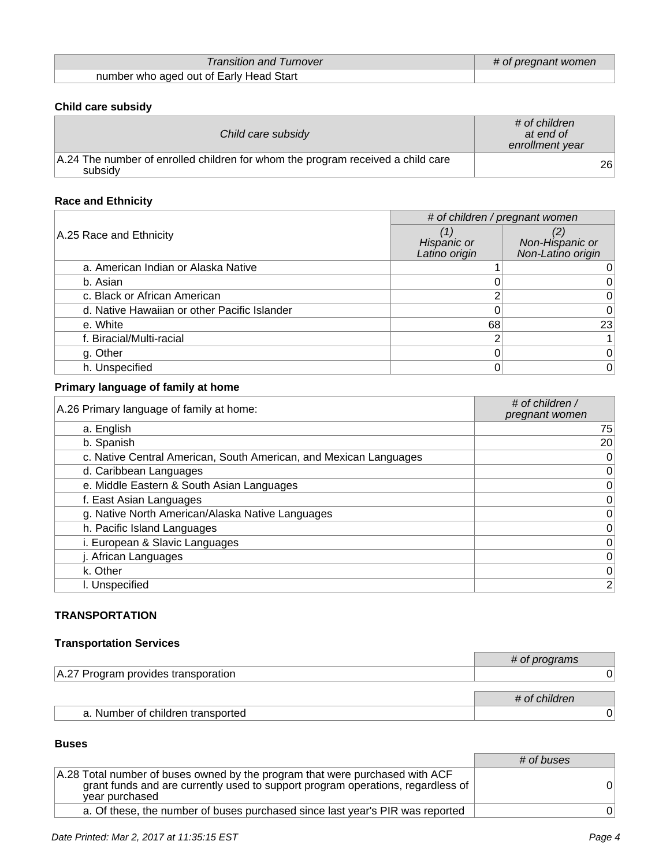| <b>Transition and Turnover</b>          | # of pregnant women |
|-----------------------------------------|---------------------|
| number who aged out of Early Head Start |                     |

# **Child care subsidy**

| Child care subsidy                                                                         | # of children<br>at end of<br>enrollment year |
|--------------------------------------------------------------------------------------------|-----------------------------------------------|
| A.24 The number of enrolled children for whom the program received a child care<br>subsidy | 26                                            |

# **Race and Ethnicity**

|                                              | # of children / pregnant women |                                      |
|----------------------------------------------|--------------------------------|--------------------------------------|
| A.25 Race and Ethnicity                      | Hispanic or<br>Latino origin   | Non-Hispanic or<br>Non-Latino origin |
| a. American Indian or Alaska Native          |                                |                                      |
| b. Asian                                     |                                | $0^{\circ}$                          |
| c. Black or African American                 |                                | 0                                    |
| d. Native Hawaiian or other Pacific Islander |                                | 0                                    |
| e. White                                     | 68                             | 23                                   |
| f. Biracial/Multi-racial                     |                                | 1                                    |
| g. Other                                     |                                | 0                                    |
| h. Unspecified                               |                                | 0                                    |

# **Primary language of family at home**

| A.26 Primary language of family at home:                          | # of children /<br>pregnant women |
|-------------------------------------------------------------------|-----------------------------------|
| a. English                                                        | 75                                |
| b. Spanish                                                        | 20                                |
| c. Native Central American, South American, and Mexican Languages | 0                                 |
| d. Caribbean Languages                                            | 0                                 |
| e. Middle Eastern & South Asian Languages                         | $\vert 0 \vert$                   |
| f. East Asian Languages                                           | 0                                 |
| g. Native North American/Alaska Native Languages                  | $\overline{0}$                    |
| h. Pacific Island Languages                                       | $\vert 0 \vert$                   |
| i. European & Slavic Languages                                    | $\vert 0 \vert$                   |
| j. African Languages                                              | 0                                 |
| k. Other                                                          | 0                                 |
| I. Unspecified                                                    | 2 <sup>2</sup>                    |

### **TRANSPORTATION**

# **Transportation Services**

|                                     | # of programs |
|-------------------------------------|---------------|
| A.27 Program provides transporation |               |
|                                     |               |
|                                     | # of children |
| a. Number of children transported   |               |

### **Buses**

|                                                                                                                                                                                   | # of buses |
|-----------------------------------------------------------------------------------------------------------------------------------------------------------------------------------|------------|
| A.28 Total number of buses owned by the program that were purchased with ACF<br>grant funds and are currently used to support program operations, regardless of<br>year purchased | 01         |
| a. Of these, the number of buses purchased since last year's PIR was reported                                                                                                     | 01         |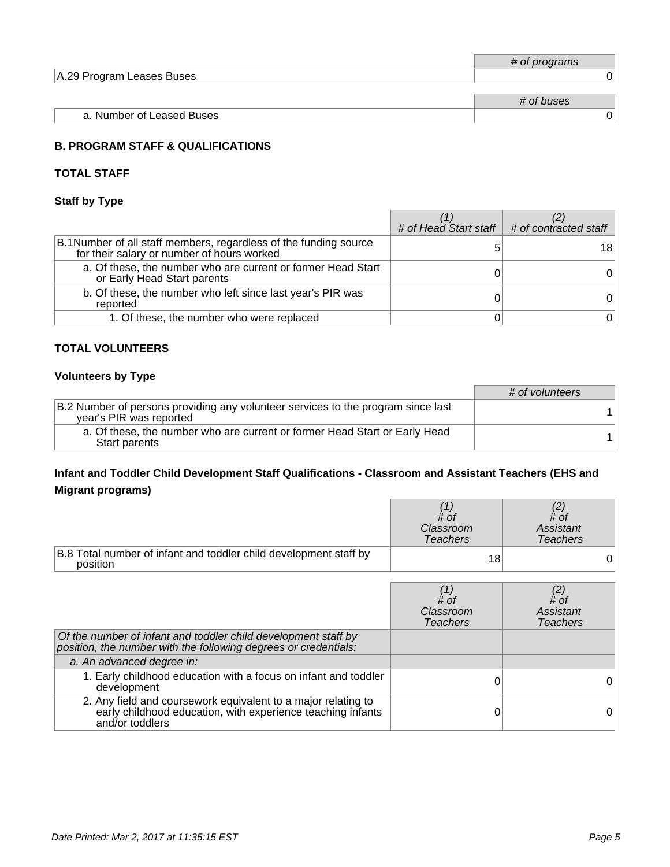|                           | # of programs |
|---------------------------|---------------|
| A.29 Program Leases Buses |               |
|                           |               |
|                           | # of buses    |
| a. Number of Leased Buses |               |

### **B. PROGRAM STAFF & QUALIFICATIONS**

### **TOTAL STAFF**

# **Staff by Type**

|                                                                                                                 | # of Head Start staff $\parallel$ # of contracted staff |
|-----------------------------------------------------------------------------------------------------------------|---------------------------------------------------------|
| B.1 Number of all staff members, regardless of the funding source<br>for their salary or number of hours worked | 181                                                     |
| a. Of these, the number who are current or former Head Start<br>or Early Head Start parents                     |                                                         |
| b. Of these, the number who left since last year's PIR was<br>reported                                          |                                                         |
| 1. Of these, the number who were replaced                                                                       |                                                         |

#### **TOTAL VOLUNTEERS**

### **Volunteers by Type**

|                                                                                                             | # of volunteers |
|-------------------------------------------------------------------------------------------------------------|-----------------|
| B.2 Number of persons providing any volunteer services to the program since last<br>year's PIR was reported |                 |
| a. Of these, the number who are current or former Head Start or Early Head<br>Start parents                 |                 |

# **Infant and Toddler Child Development Staff Qualifications - Classroom and Assistant Teachers (EHS and Migrant programs)**

|                                                                               | # of<br>Classroom<br><b>Teachers</b> | # of<br>Assistant<br>Teachers |
|-------------------------------------------------------------------------------|--------------------------------------|-------------------------------|
| B.8 Total number of infant and toddler child development staff by<br>position | 18                                   |                               |

|                                                                                                                                                 | $\#$ of<br>Classroom<br><b>Teachers</b> | (2)<br># of<br>Assistant<br><b>Teachers</b> |
|-------------------------------------------------------------------------------------------------------------------------------------------------|-----------------------------------------|---------------------------------------------|
| Of the number of infant and toddler child development staff by<br>position, the number with the following degrees or credentials:               |                                         |                                             |
| a. An advanced degree in:                                                                                                                       |                                         |                                             |
| 1. Early childhood education with a focus on infant and toddler<br>development                                                                  |                                         |                                             |
| 2. Any field and coursework equivalent to a major relating to<br>early childhood education, with experience teaching infants<br>and/or toddlers |                                         |                                             |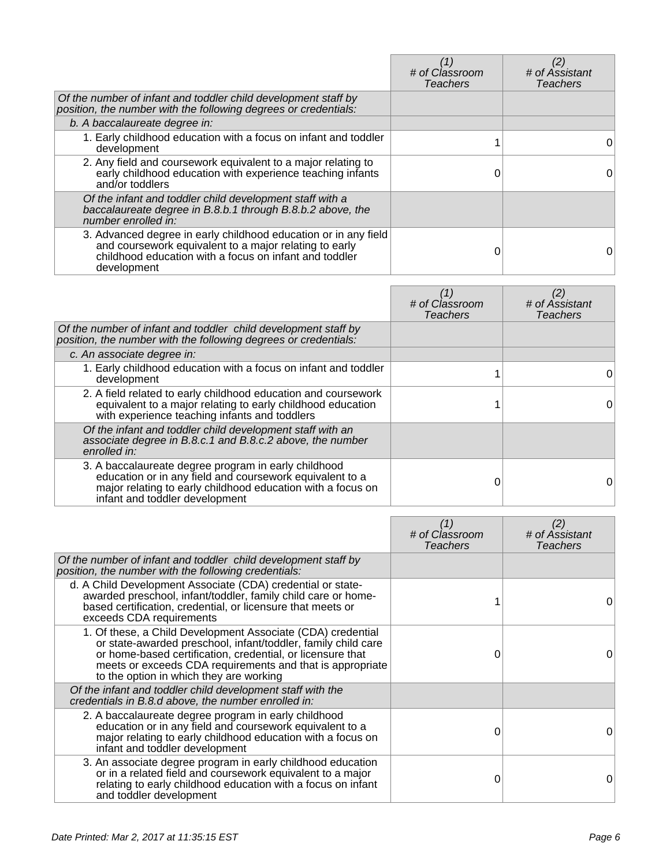|                                                                                                                                                                                                    | # of Classroom<br><b>Teachers</b> | # of Assistant<br><b>Teachers</b> |
|----------------------------------------------------------------------------------------------------------------------------------------------------------------------------------------------------|-----------------------------------|-----------------------------------|
| Of the number of infant and toddler child development staff by<br>position, the number with the following degrees or credentials:                                                                  |                                   |                                   |
| b. A baccalaureate degree in:                                                                                                                                                                      |                                   |                                   |
| 1. Early childhood education with a focus on infant and toddler<br>development                                                                                                                     |                                   | 0                                 |
| 2. Any field and coursework equivalent to a major relating to<br>early childhood education with experience teaching infants<br>and/or toddlers                                                     |                                   |                                   |
| Of the infant and toddler child development staff with a<br>baccalaureate degree in B.8.b.1 through B.8.b.2 above, the<br>number enrolled in:                                                      |                                   |                                   |
| 3. Advanced degree in early childhood education or in any field<br>and coursework equivalent to a major relating to early<br>childhood education with a focus on infant and toddler<br>development |                                   | 0                                 |

|                                                                                                                                                                                                                   | # of Classroom<br><b>Teachers</b> | # of Assistant<br><b>Teachers</b> |
|-------------------------------------------------------------------------------------------------------------------------------------------------------------------------------------------------------------------|-----------------------------------|-----------------------------------|
| Of the number of infant and toddler child development staff by<br>position, the number with the following degrees or credentials:                                                                                 |                                   |                                   |
| c. An associate degree in:                                                                                                                                                                                        |                                   |                                   |
| 1. Early childhood education with a focus on infant and toddler<br>development                                                                                                                                    |                                   | 0                                 |
| 2. A field related to early childhood education and coursework<br>equivalent to a major relating to early childhood education<br>with experience teaching infants and toddlers                                    |                                   | 0                                 |
| Of the infant and toddler child development staff with an<br>associate degree in B.8.c.1 and B.8.c.2 above, the number<br>enrolled in:                                                                            |                                   |                                   |
| 3. A baccalaureate degree program in early childhood<br>education or in any field and coursework equivalent to a<br>major relating to early childhood education with a focus on<br>infant and toddler development |                                   | 0                                 |

|                                                                                                                                                                                                                                                                                                    | (1)<br># of Classroom<br><b>Teachers</b> | (2)<br># of Assistant<br>Teachers |
|----------------------------------------------------------------------------------------------------------------------------------------------------------------------------------------------------------------------------------------------------------------------------------------------------|------------------------------------------|-----------------------------------|
| Of the number of infant and toddler child development staff by<br>position, the number with the following credentials:                                                                                                                                                                             |                                          |                                   |
| d. A Child Development Associate (CDA) credential or state-<br>awarded preschool, infant/toddler, family child care or home-<br>based certification, credential, or licensure that meets or<br>exceeds CDA requirements                                                                            |                                          | 0                                 |
| 1. Of these, a Child Development Associate (CDA) credential<br>or state-awarded preschool, infant/toddler, family child care<br>or home-based certification, credential, or licensure that<br>meets or exceeds CDA requirements and that is appropriate<br>to the option in which they are working | 0                                        | 0                                 |
| Of the infant and toddler child development staff with the<br>credentials in B.8.d above, the number enrolled in:                                                                                                                                                                                  |                                          |                                   |
| 2. A baccalaureate degree program in early childhood<br>education or in any field and coursework equivalent to a<br>major relating to early childhood education with a focus on<br>infant and toddler development                                                                                  |                                          | 0                                 |
| 3. An associate degree program in early childhood education<br>or in a related field and coursework equivalent to a major<br>relating to early childhood education with a focus on infant<br>and toddler development                                                                               | O                                        | 0                                 |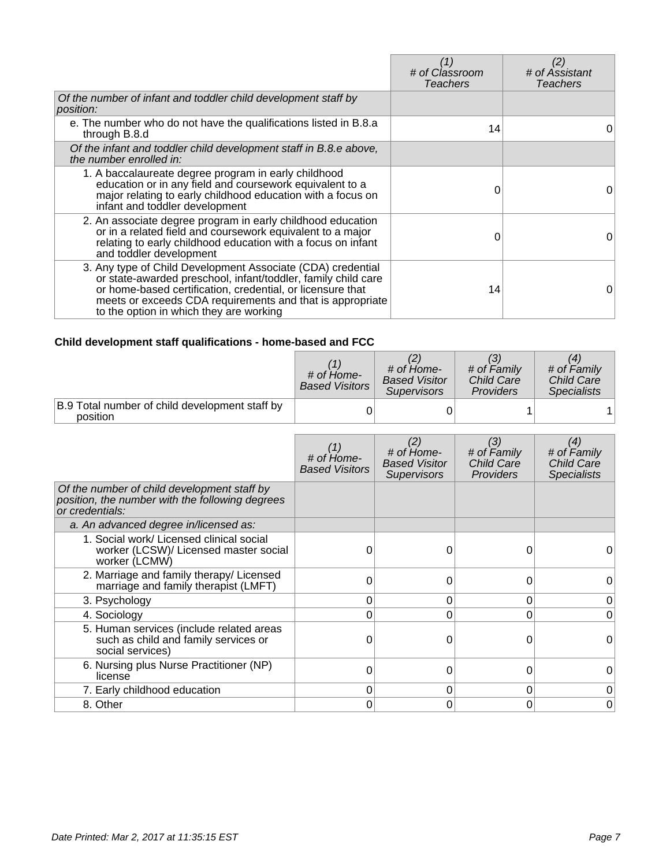|                                                                                                                                                                                                                                                                                                    | $\mathcal I$<br># of Classroom<br><b>Teachers</b> | (2)<br># of Assistant<br><b>Teachers</b> |
|----------------------------------------------------------------------------------------------------------------------------------------------------------------------------------------------------------------------------------------------------------------------------------------------------|---------------------------------------------------|------------------------------------------|
| Of the number of infant and toddler child development staff by<br>position:                                                                                                                                                                                                                        |                                                   |                                          |
| e. The number who do not have the qualifications listed in B.8.a<br>through B.8.d                                                                                                                                                                                                                  | 14                                                | 0                                        |
| Of the infant and toddler child development staff in B.8.e above,<br>the number enrolled in:                                                                                                                                                                                                       |                                                   |                                          |
| 1. A baccalaureate degree program in early childhood<br>education or in any field and coursework equivalent to a<br>major relating to early childhood education with a focus on<br>infant and toddler development                                                                                  | 0                                                 | 0                                        |
| 2. An associate degree program in early childhood education<br>or in a related field and coursework equivalent to a major<br>relating to early childhood education with a focus on infant<br>and toddler development                                                                               | 0                                                 | 0                                        |
| 3. Any type of Child Development Associate (CDA) credential<br>or state-awarded preschool, infant/toddler, family child care<br>or home-based certification, credential, or licensure that<br>meets or exceeds CDA requirements and that is appropriate<br>to the option in which they are working | 14                                                | 0                                        |

# **Child development staff qualifications - home-based and FCC**

|                                                                                                                   | # of Home-<br><b>Based Visitors</b>      | # of Home-<br><b>Based Visitor</b><br><b>Supervisors</b>                | (3)<br># of Family<br><b>Child Care</b><br><b>Providers</b> | (4)<br># of Family<br><b>Child Care</b><br><b>Specialists</b> |
|-------------------------------------------------------------------------------------------------------------------|------------------------------------------|-------------------------------------------------------------------------|-------------------------------------------------------------|---------------------------------------------------------------|
| B.9 Total number of child development staff by<br>position                                                        | 0                                        | 0                                                                       |                                                             |                                                               |
|                                                                                                                   | $#$ of $H$ ome-<br><b>Based Visitors</b> | (2)<br>$#$ of $Hom$ $e$ -<br><b>Based Visitor</b><br><b>Supervisors</b> | (3)<br># of Family<br><b>Child Care</b><br>Providers        | (4)<br># of Family<br><b>Child Care</b><br><b>Specialists</b> |
| Of the number of child development staff by<br>position, the number with the following degrees<br>or credentials: |                                          |                                                                         |                                                             |                                                               |
| a. An advanced degree in/licensed as:                                                                             |                                          |                                                                         |                                                             |                                                               |
| 1. Social work/ Licensed clinical social<br>worker (LCSW)/ Licensed master social<br>worker (LCMW)                | 0                                        | 0                                                                       | 0                                                           | 0                                                             |
| 2. Marriage and family therapy/ Licensed<br>marriage and family therapist (LMFT)                                  | 0                                        | $\Omega$                                                                | 0                                                           | 0                                                             |
| 3. Psychology                                                                                                     | 0                                        | 0                                                                       | 0                                                           | 0                                                             |
| 4. Sociology                                                                                                      | 0                                        | $\Omega$                                                                | 0                                                           | 0                                                             |
| 5. Human services (include related areas<br>such as child and family services or<br>social services)              | 0                                        | 0                                                                       |                                                             | 0                                                             |
| 6. Nursing plus Nurse Practitioner (NP)<br>license                                                                | 0                                        | 0                                                                       | 0                                                           | 0                                                             |
| 7. Early childhood education                                                                                      | 0                                        | 0                                                                       | 0                                                           | 0                                                             |
| 8. Other                                                                                                          | 0                                        | 0                                                                       | 0                                                           | 0                                                             |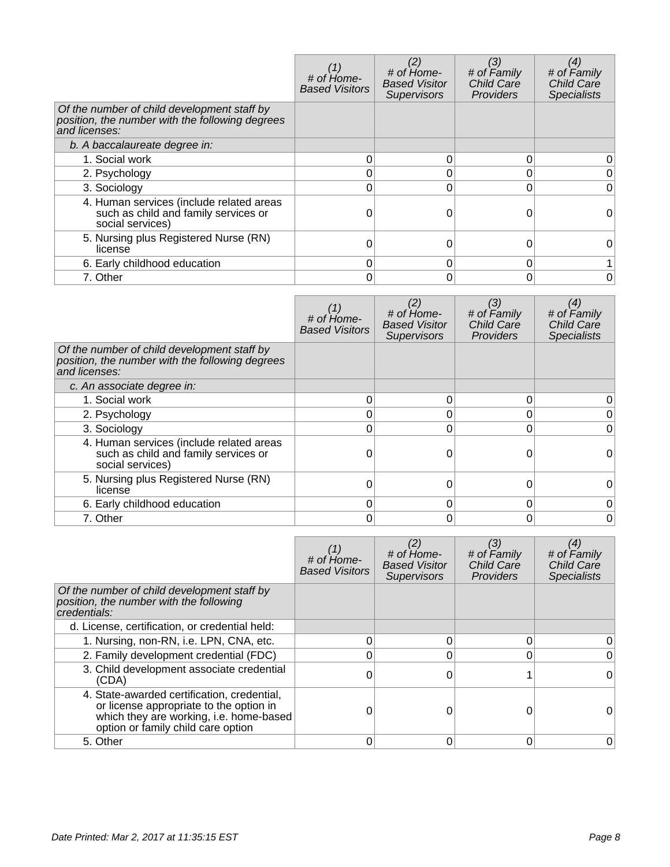|                                                                                                                 | # of Home-<br><b>Based Visitors</b> | $#$ of $Hom$ $e$ -<br><b>Based Visitor</b><br><b>Supervisors</b> | (3)<br># of Family<br>Child Care<br>Providers | (4)<br># of Family<br><b>Child Care</b><br><b>Specialists</b> |
|-----------------------------------------------------------------------------------------------------------------|-------------------------------------|------------------------------------------------------------------|-----------------------------------------------|---------------------------------------------------------------|
| Of the number of child development staff by<br>position, the number with the following degrees<br>and licenses: |                                     |                                                                  |                                               |                                                               |
| b. A baccalaureate degree in:                                                                                   |                                     |                                                                  |                                               |                                                               |
| 1. Social work                                                                                                  | 0                                   | 0                                                                |                                               |                                                               |
| 2. Psychology                                                                                                   | 0                                   | 0                                                                |                                               |                                                               |
| 3. Sociology                                                                                                    | 0                                   | 0                                                                |                                               | 0                                                             |
| 4. Human services (include related areas<br>such as child and family services or<br>social services)            |                                     | 0                                                                |                                               |                                                               |
| 5. Nursing plus Registered Nurse (RN)<br>license                                                                | ი                                   | 0                                                                |                                               | O                                                             |
| 6. Early childhood education                                                                                    | 0                                   | 0                                                                |                                               |                                                               |
| 7. Other                                                                                                        | 0                                   | 0                                                                |                                               | 0                                                             |

|                                                                                                                 | # of Home-<br><b>Based Visitors</b> | # of Home-<br><b>Based Visitor</b><br><b>Supervisors</b> | (3)<br># of Family<br><b>Child Care</b><br>Providers | $\left( 4\right)$<br># of Family<br><b>Child Care</b><br><b>Specialists</b> |
|-----------------------------------------------------------------------------------------------------------------|-------------------------------------|----------------------------------------------------------|------------------------------------------------------|-----------------------------------------------------------------------------|
| Of the number of child development staff by<br>position, the number with the following degrees<br>and licenses: |                                     |                                                          |                                                      |                                                                             |
| c. An associate degree in:                                                                                      |                                     |                                                          |                                                      |                                                                             |
| 1. Social work                                                                                                  | 0                                   |                                                          |                                                      |                                                                             |
| 2. Psychology                                                                                                   | 0                                   |                                                          |                                                      |                                                                             |
| 3. Sociology                                                                                                    | ი                                   | ი                                                        |                                                      |                                                                             |
| 4. Human services (include related areas<br>such as child and family services or<br>social services)            |                                     |                                                          |                                                      |                                                                             |
| 5. Nursing plus Registered Nurse (RN)<br>license                                                                |                                     |                                                          |                                                      |                                                                             |
| 6. Early childhood education                                                                                    | 0                                   | O                                                        | U                                                    |                                                                             |
| 7. Other                                                                                                        | 0                                   |                                                          |                                                      | 0                                                                           |

|                                                                                                                                                                         | # of Home-<br><b>Based Visitors</b> | $#$ of $H$ <sub>ome</sub> -<br><b>Based Visitor</b><br><b>Supervisors</b> | (3)<br># of Family<br><b>Child Care</b><br><b>Providers</b> | (4)<br># of Family<br>Child Care<br><b>Specialists</b> |
|-------------------------------------------------------------------------------------------------------------------------------------------------------------------------|-------------------------------------|---------------------------------------------------------------------------|-------------------------------------------------------------|--------------------------------------------------------|
| Of the number of child development staff by<br>position, the number with the following<br>credentials:                                                                  |                                     |                                                                           |                                                             |                                                        |
| d. License, certification, or credential held:                                                                                                                          |                                     |                                                                           |                                                             |                                                        |
| 1. Nursing, non-RN, i.e. LPN, CNA, etc.                                                                                                                                 |                                     | 0                                                                         |                                                             |                                                        |
| 2. Family development credential (FDC)                                                                                                                                  |                                     | 0                                                                         |                                                             |                                                        |
| 3. Child development associate credential<br>(CDA)                                                                                                                      |                                     | 0                                                                         |                                                             |                                                        |
| 4. State-awarded certification, credential,<br>or license appropriate to the option in<br>which they are working, i.e. home-based<br>option or family child care option |                                     |                                                                           |                                                             |                                                        |
| 5. Other                                                                                                                                                                |                                     | 0                                                                         |                                                             | 0                                                      |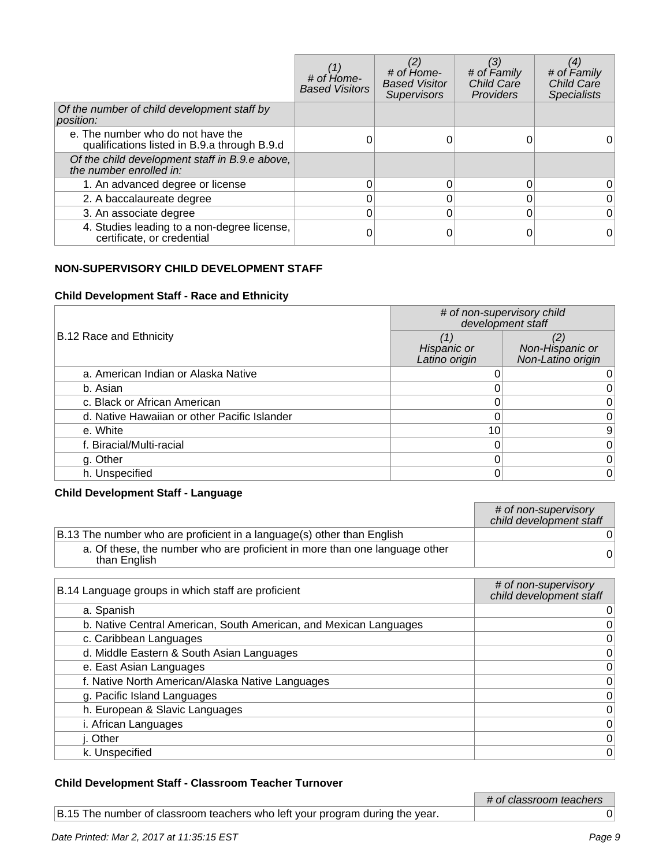|                                                                                   | # of Home-<br><b>Based Visitors</b> | # of Home-<br><b>Based Visitor</b><br><b>Supervisors</b> | (3)<br># of Family<br>Child Care<br>Providers | (4)<br># of Family<br>Child Care<br><b>Specialists</b> |
|-----------------------------------------------------------------------------------|-------------------------------------|----------------------------------------------------------|-----------------------------------------------|--------------------------------------------------------|
| Of the number of child development staff by<br>position:                          |                                     |                                                          |                                               |                                                        |
| e. The number who do not have the<br>qualifications listed in B.9.a through B.9.d |                                     |                                                          |                                               |                                                        |
| Of the child development staff in B.9.e above,<br>the number enrolled in:         |                                     |                                                          |                                               |                                                        |
| 1. An advanced degree or license                                                  |                                     | 0                                                        |                                               |                                                        |
| 2. A baccalaureate degree                                                         |                                     | 0                                                        |                                               | 0                                                      |
| 3. An associate degree                                                            |                                     | 0                                                        |                                               |                                                        |
| 4. Studies leading to a non-degree license,<br>certificate, or credential         |                                     |                                                          |                                               | 0                                                      |

### **NON-SUPERVISORY CHILD DEVELOPMENT STAFF**

### **Child Development Staff - Race and Ethnicity**

|                                              | # of non-supervisory child<br>development staff |                                      |
|----------------------------------------------|-------------------------------------------------|--------------------------------------|
| <b>B.12 Race and Ethnicity</b>               | (1)<br>Hispanic or<br>Latino origin             | Non-Hispanic or<br>Non-Latino origin |
| a. American Indian or Alaska Native          |                                                 |                                      |
| b. Asian                                     |                                                 |                                      |
| c. Black or African American                 |                                                 |                                      |
| d. Native Hawaiian or other Pacific Islander |                                                 | 0                                    |
| e. White                                     | 10                                              | 9                                    |
| f. Biracial/Multi-racial                     |                                                 | 0                                    |
| g. Other                                     |                                                 |                                      |
| h. Unspecified                               |                                                 | 0                                    |

### **Child Development Staff - Language**

|                                                                                            | # of non-supervisory<br>child development staff |
|--------------------------------------------------------------------------------------------|-------------------------------------------------|
| B.13 The number who are proficient in a language(s) other than English                     |                                                 |
| a. Of these, the number who are proficient in more than one language other<br>than English |                                                 |

| B.14 Language groups in which staff are proficient                | # of non-supervisory<br>child development staff |
|-------------------------------------------------------------------|-------------------------------------------------|
| a. Spanish                                                        | 0                                               |
| b. Native Central American, South American, and Mexican Languages | 0                                               |
| c. Caribbean Languages                                            | 0                                               |
| d. Middle Eastern & South Asian Languages                         | 0                                               |
| e. East Asian Languages                                           | 0                                               |
| f. Native North American/Alaska Native Languages                  | $\mathbf 0$                                     |
| g. Pacific Island Languages                                       | 0                                               |
| h. European & Slavic Languages                                    | 0                                               |
| i. African Languages                                              | 0                                               |
| j. Other                                                          | 0                                               |
| k. Unspecified                                                    | $\Omega$                                        |
|                                                                   |                                                 |

# **Child Development Staff - Classroom Teacher Turnover**

|                                                                              | # of classroom teachers |
|------------------------------------------------------------------------------|-------------------------|
| B.15 The number of classroom teachers who left your program during the year. |                         |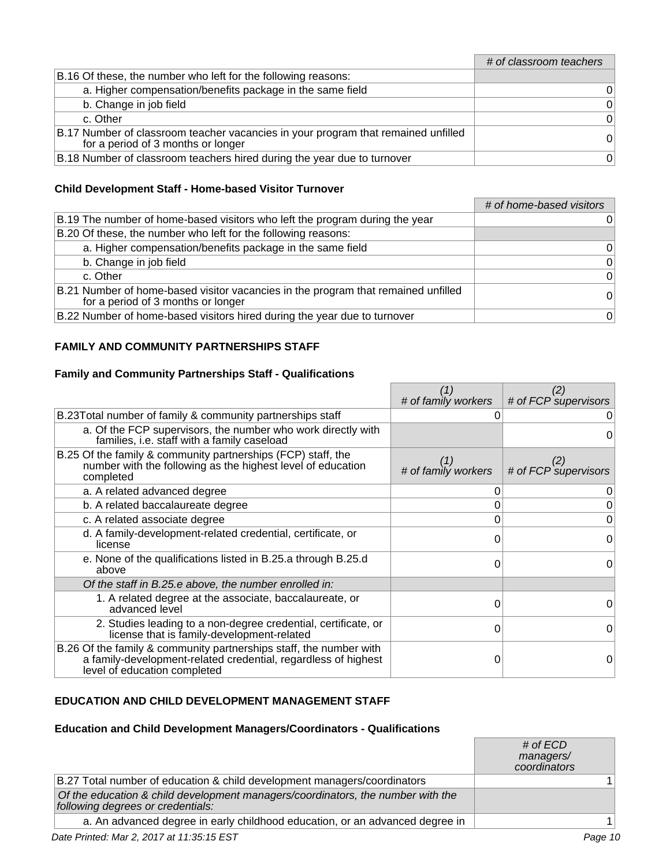### # of classroom teachers

| B.16 Of these, the number who left for the following reasons:                                                           |   |
|-------------------------------------------------------------------------------------------------------------------------|---|
| a. Higher compensation/benefits package in the same field                                                               | 0 |
| b. Change in job field                                                                                                  | 0 |
| c. Other                                                                                                                | 0 |
| B.17 Number of classroom teacher vacancies in your program that remained unfilled<br>for a period of 3 months or longer | 0 |
| B.18 Number of classroom teachers hired during the year due to turnover                                                 | 0 |

### **Child Development Staff - Home-based Visitor Turnover**

|                                                                                                                         | # of home-based visitors |
|-------------------------------------------------------------------------------------------------------------------------|--------------------------|
| B.19 The number of home-based visitors who left the program during the year                                             | 0                        |
| B.20 Of these, the number who left for the following reasons:                                                           |                          |
| a. Higher compensation/benefits package in the same field                                                               | 0                        |
| b. Change in job field                                                                                                  | 0                        |
| c. Other                                                                                                                | $\Omega$                 |
| B.21 Number of home-based visitor vacancies in the program that remained unfilled<br>for a period of 3 months or longer | $\Omega$                 |
| B.22 Number of home-based visitors hired during the year due to turnover                                                | $\Omega$                 |

### **FAMILY AND COMMUNITY PARTNERSHIPS STAFF**

### **Family and Community Partnerships Staff - Qualifications**

|                                                                                                                                                                      |                     | (2)                  |
|----------------------------------------------------------------------------------------------------------------------------------------------------------------------|---------------------|----------------------|
|                                                                                                                                                                      | # of family workers | # of FCP supervisors |
| B.23 Total number of family & community partnerships staff                                                                                                           |                     |                      |
| a. Of the FCP supervisors, the number who work directly with<br>families, i.e. staff with a family caseload                                                          |                     | 0                    |
| B.25 Of the family & community partnerships (FCP) staff, the<br>number with the following as the highest level of education<br>completed                             | # of family workers | # of FCP supervisors |
| a. A related advanced degree                                                                                                                                         | 0                   |                      |
| b. A related baccalaureate degree                                                                                                                                    | 0                   |                      |
| c. A related associate degree                                                                                                                                        | 0                   |                      |
| d. A family-development-related credential, certificate, or<br>license                                                                                               | O                   | $\Omega$             |
| e. None of the qualifications listed in B.25.a through B.25.d<br>above                                                                                               | O                   | 0                    |
| Of the staff in B.25.e above, the number enrolled in:                                                                                                                |                     |                      |
| 1. A related degree at the associate, baccalaureate, or<br>advanced level                                                                                            | 0                   | 0                    |
| 2. Studies leading to a non-degree credential, certificate, or<br>license that is family-development-related                                                         | 0                   | 0                    |
| B.26 Of the family & community partnerships staff, the number with<br>a family-development-related credential, regardless of highest<br>level of education completed |                     | 0                    |

### **EDUCATION AND CHILD DEVELOPMENT MANAGEMENT STAFF**

#### **Education and Child Development Managers/Coordinators - Qualifications**

|                                                                                                                      | # of ECD<br>managers/<br>coordinators |
|----------------------------------------------------------------------------------------------------------------------|---------------------------------------|
| B.27 Total number of education & child development managers/coordinators                                             |                                       |
| Of the education & child development managers/coordinators, the number with the<br>following degrees or credentials: |                                       |
| a. An advanced degree in early childhood education, or an advanced degree in                                         |                                       |
|                                                                                                                      |                                       |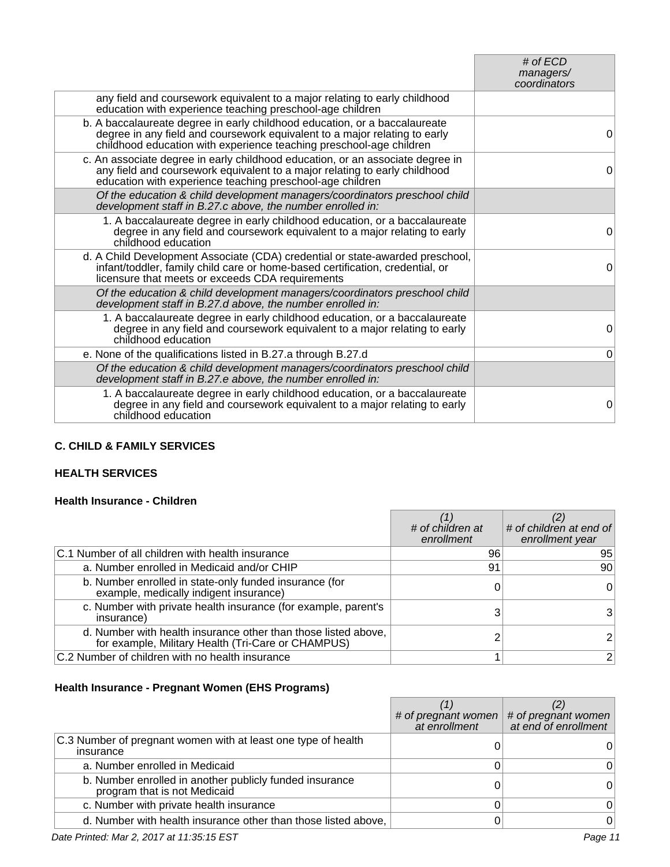|                                                                                                                                                                                                                                 | # of $ECD$   |
|---------------------------------------------------------------------------------------------------------------------------------------------------------------------------------------------------------------------------------|--------------|
|                                                                                                                                                                                                                                 | managers/    |
|                                                                                                                                                                                                                                 | coordinators |
| any field and coursework equivalent to a major relating to early childhood<br>education with experience teaching preschool-age children                                                                                         |              |
| b. A baccalaureate degree in early childhood education, or a baccalaureate<br>degree in any field and coursework equivalent to a major relating to early<br>childhood education with experience teaching preschool-age children | $\Omega$     |
| c. An associate degree in early childhood education, or an associate degree in<br>any field and coursework equivalent to a major relating to early childhood<br>education with experience teaching preschool-age children       | $\Omega$     |
| Of the education & child development managers/coordinators preschool child<br>development staff in B.27.c above, the number enrolled in:                                                                                        |              |
| 1. A baccalaureate degree in early childhood education, or a baccalaureate<br>degree in any field and coursework equivalent to a major relating to early<br>childhood education                                                 | $\Omega$     |
| d. A Child Development Associate (CDA) credential or state-awarded preschool,<br>infant/toddler, family child care or home-based certification, credential, or<br>licensure that meets or exceeds CDA requirements              | $\Omega$     |
| Of the education & child development managers/coordinators preschool child<br>development staff in B.27.d above, the number enrolled in:                                                                                        |              |
| 1. A baccalaureate degree in early childhood education, or a baccalaureate<br>degree in any field and coursework equivalent to a major relating to early<br>childhood education                                                 | $\Omega$     |
| e. None of the qualifications listed in B.27.a through B.27.d                                                                                                                                                                   | $\mathbf 0$  |
| Of the education & child development managers/coordinators preschool child<br>development staff in B.27.e above, the number enrolled in:                                                                                        |              |
| 1. A baccalaureate degree in early childhood education, or a baccalaureate<br>degree in any field and coursework equivalent to a major relating to early<br>childhood education                                                 | 0            |

### **C. CHILD & FAMILY SERVICES**

# **HEALTH SERVICES**

### **Health Insurance - Children**

|                                                                                                                      | # of children at<br>enrollment | # of children at end of<br>enrollment year |
|----------------------------------------------------------------------------------------------------------------------|--------------------------------|--------------------------------------------|
| C.1 Number of all children with health insurance                                                                     | 96                             | 95                                         |
| a. Number enrolled in Medicaid and/or CHIP                                                                           | 91                             | 90                                         |
| b. Number enrolled in state-only funded insurance (for<br>example, medically indigent insurance)                     |                                | 0                                          |
| c. Number with private health insurance (for example, parent's<br>insurance)                                         |                                | 3                                          |
| d. Number with health insurance other than those listed above,<br>for example, Military Health (Tri-Care or CHAMPUS) |                                |                                            |
| C.2 Number of children with no health insurance                                                                      |                                |                                            |

# **Health Insurance - Pregnant Women (EHS Programs)**

|                                                                                         | # of pregnant women $ $<br>at enrollment | # of pregnant women<br>at end of enrollment |
|-----------------------------------------------------------------------------------------|------------------------------------------|---------------------------------------------|
| C.3 Number of pregnant women with at least one type of health<br>insurance              |                                          |                                             |
| a. Number enrolled in Medicaid                                                          |                                          |                                             |
| b. Number enrolled in another publicly funded insurance<br>program that is not Medicaid |                                          |                                             |
| c. Number with private health insurance                                                 |                                          |                                             |
| d. Number with health insurance other than those listed above,                          |                                          |                                             |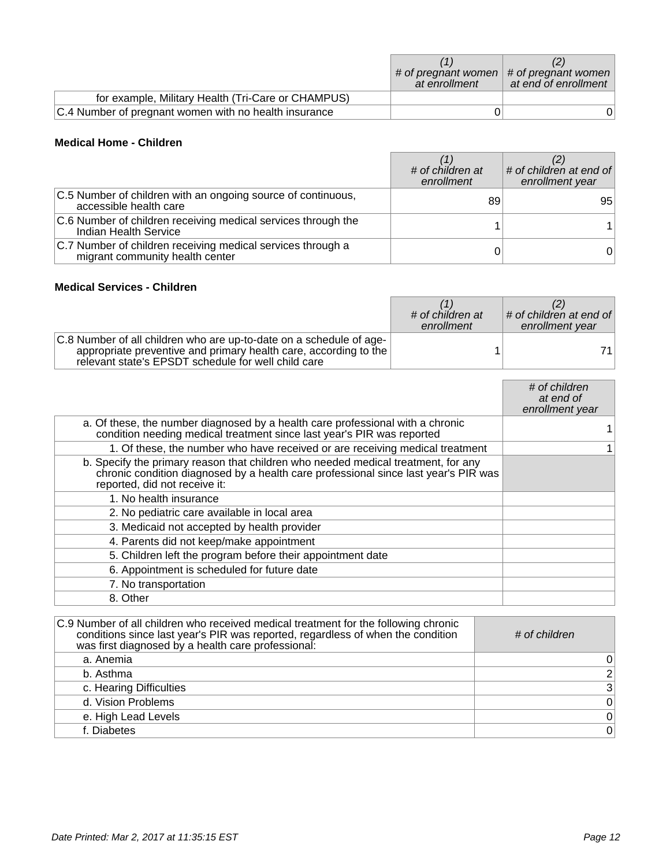|                                                       | at enrollment | # of pregnant women $ $ # of pregnant women<br>at end of enrollment |
|-------------------------------------------------------|---------------|---------------------------------------------------------------------|
| for example, Military Health (Tri-Care or CHAMPUS)    |               |                                                                     |
| C.4 Number of pregnant women with no health insurance |               |                                                                     |

### **Medical Home - Children**

|                                                                                                | # of children at<br>enrollment | # of children at end of<br>enrollment year |
|------------------------------------------------------------------------------------------------|--------------------------------|--------------------------------------------|
| C.5 Number of children with an ongoing source of continuous,<br>accessible health care         | 89                             | 95                                         |
| C.6 Number of children receiving medical services through the<br>Indian Health Service         |                                |                                            |
| C.7 Number of children receiving medical services through a<br>migrant community health center |                                | 0                                          |

### **Medical Services - Children**

|                                                                                                                                                                                                | # of children at<br>enrollment | $\vert$ # of children at end of $\vert$<br>enrollment year |
|------------------------------------------------------------------------------------------------------------------------------------------------------------------------------------------------|--------------------------------|------------------------------------------------------------|
| C.8 Number of all children who are up-to-date on a schedule of age-<br>appropriate preventive and primary health care, according to the<br>relevant state's EPSDT schedule for well child care |                                | 71                                                         |

|                                                                                                                                                                                                           | # of children<br>at end of<br>enrollment year |
|-----------------------------------------------------------------------------------------------------------------------------------------------------------------------------------------------------------|-----------------------------------------------|
| a. Of these, the number diagnosed by a health care professional with a chronic<br>condition needing medical treatment since last year's PIR was reported                                                  |                                               |
| 1. Of these, the number who have received or are receiving medical treatment                                                                                                                              |                                               |
| b. Specify the primary reason that children who needed medical treatment, for any<br>chronic condition diagnosed by a health care professional since last year's PIR was<br>reported, did not receive it: |                                               |
| 1. No health insurance                                                                                                                                                                                    |                                               |
| 2. No pediatric care available in local area                                                                                                                                                              |                                               |
| 3. Medicaid not accepted by health provider                                                                                                                                                               |                                               |
| 4. Parents did not keep/make appointment                                                                                                                                                                  |                                               |
| 5. Children left the program before their appointment date                                                                                                                                                |                                               |
| 6. Appointment is scheduled for future date                                                                                                                                                               |                                               |
| 7. No transportation                                                                                                                                                                                      |                                               |
| 8. Other                                                                                                                                                                                                  |                                               |

| C.9 Number of all children who received medical treatment for the following chronic<br>conditions since last year's PIR was reported, regardless of when the condition<br>was first diagnosed by a health care professional: | # of children  |
|------------------------------------------------------------------------------------------------------------------------------------------------------------------------------------------------------------------------------|----------------|
| a. Anemia                                                                                                                                                                                                                    | 0              |
| b. Asthma                                                                                                                                                                                                                    | $\overline{2}$ |
| c. Hearing Difficulties                                                                                                                                                                                                      | $\mathfrak{S}$ |
| d. Vision Problems                                                                                                                                                                                                           | $\pmb{0}$      |
| e. High Lead Levels                                                                                                                                                                                                          | $\pmb{0}$      |
| f. Diabetes                                                                                                                                                                                                                  | $\mathsf 0$    |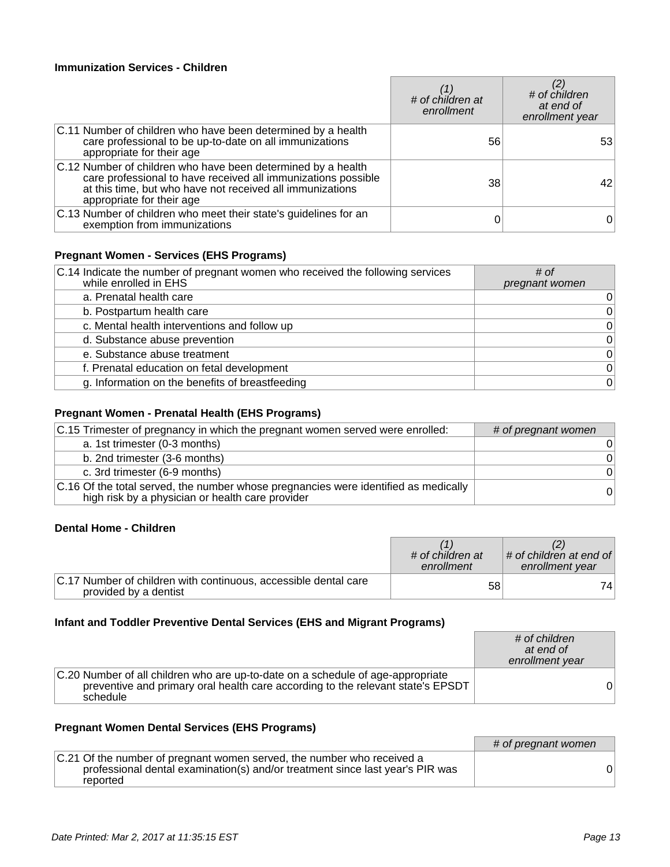### **Immunization Services - Children**

|                                                                                                                                                                                                                         | # of children at<br>enrollment | $\sharp$ of children<br>at end of<br>enrollment year |
|-------------------------------------------------------------------------------------------------------------------------------------------------------------------------------------------------------------------------|--------------------------------|------------------------------------------------------|
| C.11 Number of children who have been determined by a health<br>care professional to be up-to-date on all immunizations<br>appropriate for their age                                                                    | 56                             | 53                                                   |
| C.12 Number of children who have been determined by a health<br>care professional to have received all immunizations possible<br>at this time, but who have not received all immunizations<br>appropriate for their age | 38                             | 42                                                   |
| C.13 Number of children who meet their state's guidelines for an<br>exemption from immunizations                                                                                                                        |                                | 0                                                    |

# **Pregnant Women - Services (EHS Programs)**

| C.14 Indicate the number of pregnant women who received the following services<br>while enrolled in EHS | # of<br>pregnant women |
|---------------------------------------------------------------------------------------------------------|------------------------|
| a. Prenatal health care                                                                                 | 0                      |
| b. Postpartum health care                                                                               | $\Omega$               |
| c. Mental health interventions and follow up                                                            | $\Omega$               |
| d. Substance abuse prevention                                                                           | 0                      |
| e. Substance abuse treatment                                                                            | $\Omega$               |
| f. Prenatal education on fetal development                                                              | $\Omega$               |
| g. Information on the benefits of breastfeeding                                                         | $\overline{0}$         |

# **Pregnant Women - Prenatal Health (EHS Programs)**

| C.15 Trimester of pregnancy in which the pregnant women served were enrolled:                                                           | # of pregnant women |
|-----------------------------------------------------------------------------------------------------------------------------------------|---------------------|
| a. 1st trimester (0-3 months)                                                                                                           | 0                   |
| b. 2nd trimester (3-6 months)                                                                                                           | $\Omega$            |
| c. 3rd trimester (6-9 months)                                                                                                           | $\Omega$            |
| C.16 Of the total served, the number whose pregnancies were identified as medically<br>high risk by a physician or health care provider | 0                   |

### **Dental Home - Children**

|                                                                                          | # of children at<br>enrollment | $\vert$ # of children at end of $\vert$<br>enrollment year |
|------------------------------------------------------------------------------------------|--------------------------------|------------------------------------------------------------|
| C.17 Number of children with continuous, accessible dental care<br>provided by a dentist | 58                             | 741                                                        |

# **Infant and Toddler Preventive Dental Services (EHS and Migrant Programs)**

|                                                                                                                                                                                | # of children<br>at end of<br>enrollment year |
|--------------------------------------------------------------------------------------------------------------------------------------------------------------------------------|-----------------------------------------------|
| C.20 Number of all children who are up-to-date on a schedule of age-appropriate<br>preventive and primary oral health care according to the relevant state's EPSDT<br>schedule |                                               |

# **Pregnant Women Dental Services (EHS Programs)**

|                                                                                                                                                                     | # of pregnant women |
|---------------------------------------------------------------------------------------------------------------------------------------------------------------------|---------------------|
| C.21 Of the number of pregnant women served, the number who received a<br>professional dental examination(s) and/or treatment since last year's PIR was<br>reported |                     |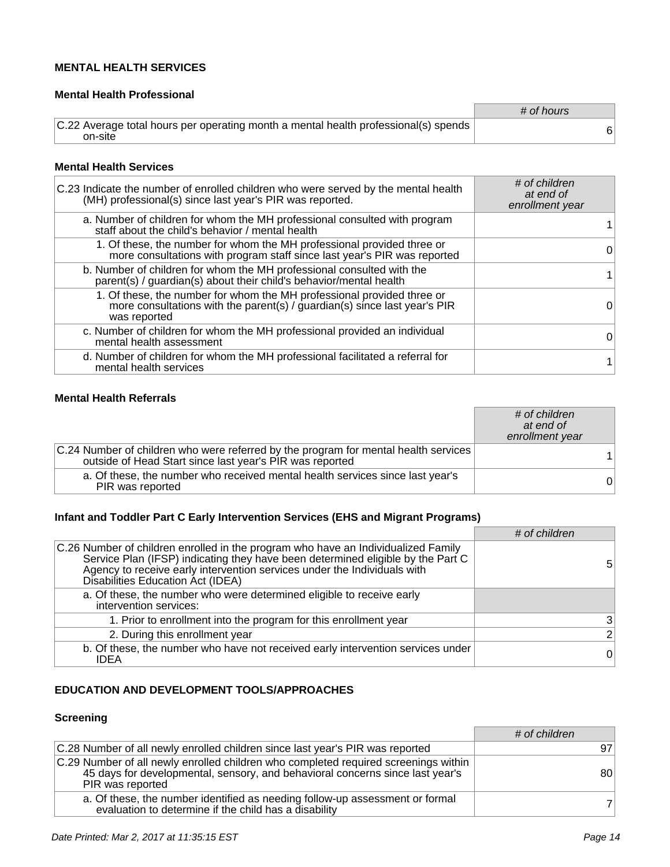### **MENTAL HEALTH SERVICES**

### **Mental Health Professional**

|                                                                                                | # of hours |
|------------------------------------------------------------------------------------------------|------------|
| C.22 Average total hours per operating month a mental health professional(s) spends<br>on-site |            |

#### **Mental Health Services**

| C.23 Indicate the number of enrolled children who were served by the mental health<br>(MH) professional(s) since last year's PIR was reported.                      | # of children<br>at end of<br>enrollment year |
|---------------------------------------------------------------------------------------------------------------------------------------------------------------------|-----------------------------------------------|
| a. Number of children for whom the MH professional consulted with program<br>staff about the child's behavior / mental health                                       |                                               |
| 1. Of these, the number for whom the MH professional provided three or<br>more consultations with program staff since last year's PIR was reported                  | 0                                             |
| b. Number of children for whom the MH professional consulted with the<br>parent(s) / guardian(s) about their child's behavior/mental health                         |                                               |
| 1. Of these, the number for whom the MH professional provided three or<br>more consultations with the parent(s) / guardian(s) since last year's PIR<br>was reported | 0                                             |
| c. Number of children for whom the MH professional provided an individual<br>mental health assessment                                                               |                                               |
| d. Number of children for whom the MH professional facilitated a referral for<br>mental health services                                                             |                                               |

### **Mental Health Referrals**

|                                                                                                                                                 | # of children<br>at end of<br>enrollment year |
|-------------------------------------------------------------------------------------------------------------------------------------------------|-----------------------------------------------|
| C.24 Number of children who were referred by the program for mental health services<br>outside of Head Start since last year's PIR was reported |                                               |
| a. Of these, the number who received mental health services since last year's<br>PIR was reported                                               | 0                                             |

### **Infant and Toddler Part C Early Intervention Services (EHS and Migrant Programs)**

|                                                                                                                                                                                                                                                                                       | # of children  |
|---------------------------------------------------------------------------------------------------------------------------------------------------------------------------------------------------------------------------------------------------------------------------------------|----------------|
| C.26 Number of children enrolled in the program who have an Individualized Family<br>Service Plan (IFSP) indicating they have been determined eligible by the Part C<br>Agency to receive early intervention services under the Individuals with<br>Disabilities Education Act (IDEA) | 5              |
| a. Of these, the number who were determined eligible to receive early<br>intervention services:                                                                                                                                                                                       |                |
| 1. Prior to enrollment into the program for this enrollment year                                                                                                                                                                                                                      | $\mathbf{3}$   |
| 2. During this enrollment year                                                                                                                                                                                                                                                        | 2 <sub>1</sub> |
| b. Of these, the number who have not received early intervention services under<br><b>IDEA</b>                                                                                                                                                                                        | $\Omega$       |

### **EDUCATION AND DEVELOPMENT TOOLS/APPROACHES**

# **Screening**

|                                                                                                                                                                                          | # of children |
|------------------------------------------------------------------------------------------------------------------------------------------------------------------------------------------|---------------|
| C.28 Number of all newly enrolled children since last year's PIR was reported                                                                                                            | 97            |
| C.29 Number of all newly enrolled children who completed required screenings within<br>45 days for developmental, sensory, and behavioral concerns since last year's<br>PIR was reported | 80            |
| a. Of these, the number identified as needing follow-up assessment or formal<br>evaluation to determine if the child has a disability                                                    |               |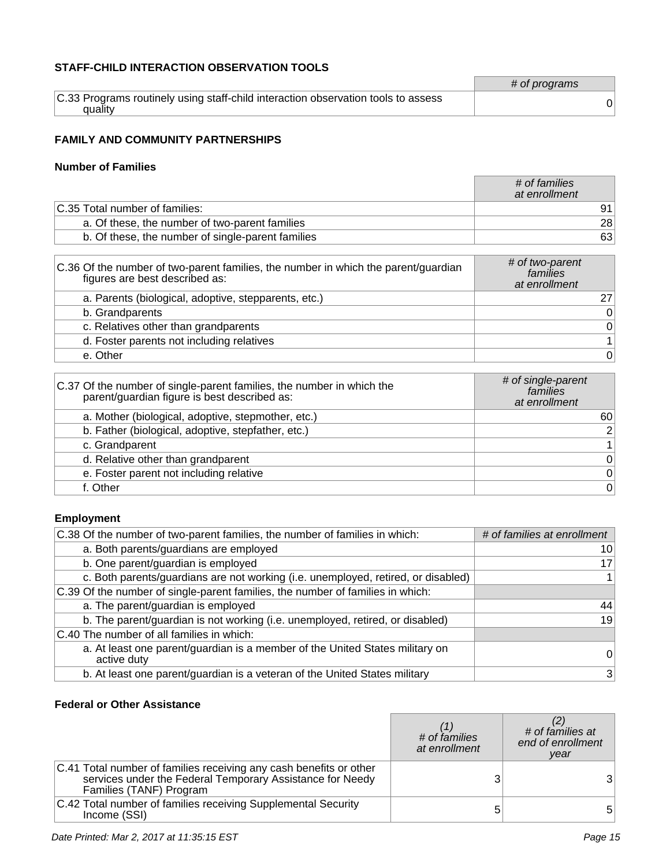### **STAFF-CHILD INTERACTION OBSERVATION TOOLS**

|                                                                                   | # of programs |
|-----------------------------------------------------------------------------------|---------------|
| C.33 Programs routinely using staff-child interaction observation tools to assess |               |
| quality                                                                           |               |

### **FAMILY AND COMMUNITY PARTNERSHIPS**

#### **Number of Families**

|                                                   | # of families<br>at enrollment |
|---------------------------------------------------|--------------------------------|
| C.35 Total number of families:                    | 91                             |
| a. Of these, the number of two-parent families    | 28                             |
| b. Of these, the number of single-parent families | 63                             |

| C.36 Of the number of two-parent families, the number in which the parent/guardian<br>figures are best described as: | # of two-parent<br>families<br>at enrollment |
|----------------------------------------------------------------------------------------------------------------------|----------------------------------------------|
| a. Parents (biological, adoptive, stepparents, etc.)                                                                 | 27                                           |
| b. Grandparents                                                                                                      | $\mathbf 0$                                  |
| c. Relatives other than grandparents                                                                                 | $\mathbf 0$                                  |
| d. Foster parents not including relatives                                                                            | $\mathbf{1}$                                 |
| e. Other                                                                                                             | 0                                            |

| C.37 Of the number of single-parent families, the number in which the<br>parent/guardian figure is best described as: | # of single-parent<br>families<br>at enrollment |
|-----------------------------------------------------------------------------------------------------------------------|-------------------------------------------------|
| a. Mother (biological, adoptive, stepmother, etc.)                                                                    | 60                                              |
| b. Father (biological, adoptive, stepfather, etc.)                                                                    | $\overline{2}$                                  |
| c. Grandparent                                                                                                        | 1 <sup>1</sup>                                  |
| d. Relative other than grandparent                                                                                    | 0                                               |
| e. Foster parent not including relative                                                                               | 0                                               |
| f. Other                                                                                                              | 0                                               |

### **Employment**

| C.38 Of the number of two-parent families, the number of families in which:                 | # of families at enrollment |
|---------------------------------------------------------------------------------------------|-----------------------------|
| a. Both parents/guardians are employed                                                      | 10                          |
| b. One parent/guardian is employed                                                          | 17                          |
| c. Both parents/guardians are not working (i.e. unemployed, retired, or disabled)           |                             |
| C.39 Of the number of single-parent families, the number of families in which:              |                             |
| a. The parent/guardian is employed                                                          | 44                          |
| b. The parent/guardian is not working (i.e. unemployed, retired, or disabled)               | 19                          |
| C.40 The number of all families in which:                                                   |                             |
| a. At least one parent/guardian is a member of the United States military on<br>active duty | 0                           |
| b. At least one parent/guardian is a veteran of the United States military                  | 3                           |

### **Federal or Other Assistance**

|                                                                                                                                                            | # of families<br>at enrollment | # of families at<br>end of enrollment<br>year |
|------------------------------------------------------------------------------------------------------------------------------------------------------------|--------------------------------|-----------------------------------------------|
| C.41 Total number of families receiving any cash benefits or other<br>services under the Federal Temporary Assistance for Needy<br>Families (TANF) Program |                                | 3 <sup>1</sup>                                |
| C.42 Total number of families receiving Supplemental Security<br>Income (SSI)                                                                              |                                | 5                                             |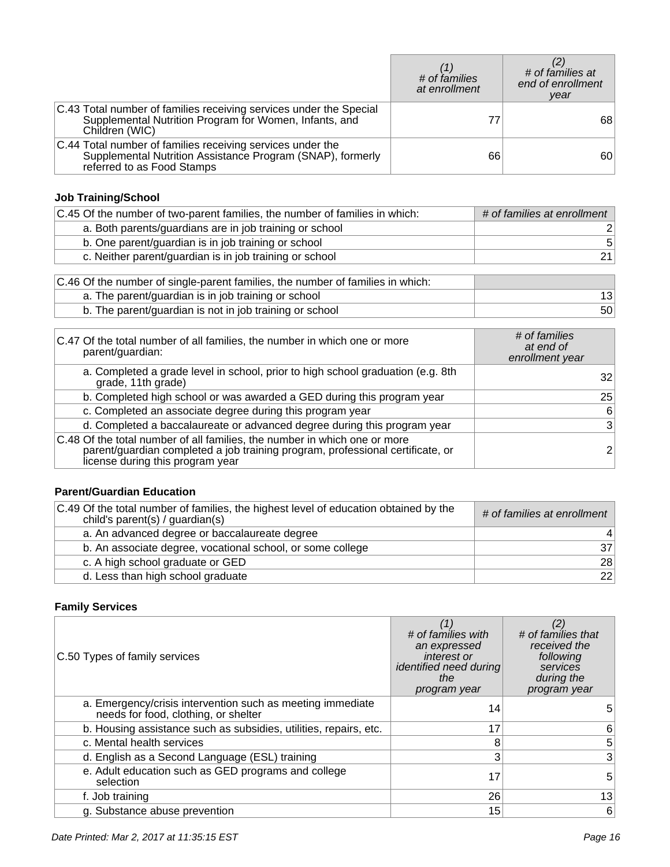|                                                                                                                                                        | # of families<br>at enrollment | # of families at<br>end of enrollment<br>year |
|--------------------------------------------------------------------------------------------------------------------------------------------------------|--------------------------------|-----------------------------------------------|
| C.43 Total number of families receiving services under the Special<br>Supplemental Nutrition Program for Women, Infants, and<br>Children (WIC)         |                                | 68                                            |
| C.44 Total number of families receiving services under the<br>Supplemental Nutrition Assistance Program (SNAP), formerly<br>referred to as Food Stamps | 66                             | 60 <sup>°</sup>                               |

# **Job Training/School**

| C.45 Of the number of two-parent families, the number of families in which: | # of families at enrollment |
|-----------------------------------------------------------------------------|-----------------------------|
| a. Both parents/guardians are in job training or school                     |                             |
| b. One parent/guardian is in job training or school                         | 5                           |
| c. Neither parent/guardian is in job training or school                     | 21                          |

| C.46 Of the number of single-parent families, the number of families in which: |    |
|--------------------------------------------------------------------------------|----|
| a. The parent/guardian is in job training or school                            | 13 |
| b. The parent/guardian is not in job training or school                        | 50 |

| C.47 Of the total number of all families, the number in which one or more<br>parent/guardian:                                                                                                   | # of families<br>at end of<br>enrollment year |
|-------------------------------------------------------------------------------------------------------------------------------------------------------------------------------------------------|-----------------------------------------------|
| a. Completed a grade level in school, prior to high school graduation (e.g. 8th<br>grade, 11th grade)                                                                                           | 321                                           |
| b. Completed high school or was awarded a GED during this program year                                                                                                                          | 25                                            |
| c. Completed an associate degree during this program year                                                                                                                                       | 6                                             |
| d. Completed a baccalaureate or advanced degree during this program year                                                                                                                        | $\mathbf{3}$                                  |
| C.48 Of the total number of all families, the number in which one or more<br>parent/guardian completed a job training program, professional certificate, or<br>license during this program year |                                               |

# **Parent/Guardian Education**

| C.49 Of the total number of families, the highest level of education obtained by the<br>child's parent(s) / guardian(s) | # of families at enrollment |
|-------------------------------------------------------------------------------------------------------------------------|-----------------------------|
| a. An advanced degree or baccalaureate degree                                                                           | $\vert$                     |
| b. An associate degree, vocational school, or some college                                                              | 37 <sup>1</sup>             |
| c. A high school graduate or GED                                                                                        | 28                          |
| d. Less than high school graduate                                                                                       | 22                          |

# **Family Services**

| C.50 Types of family services                                                                      | (1)<br># of families with<br>an expressed<br><i>interest or</i><br>identified need during<br>the<br>program year | (2)<br># of families that<br>received the<br>following<br>services<br>during the<br>program year |
|----------------------------------------------------------------------------------------------------|------------------------------------------------------------------------------------------------------------------|--------------------------------------------------------------------------------------------------|
| a. Emergency/crisis intervention such as meeting immediate<br>needs for food, clothing, or shelter | 14                                                                                                               | h.                                                                                               |
| b. Housing assistance such as subsidies, utilities, repairs, etc.                                  | 17                                                                                                               | 6                                                                                                |
| c. Mental health services                                                                          |                                                                                                                  | 5 <sup>1</sup>                                                                                   |
| d. English as a Second Language (ESL) training                                                     | 3                                                                                                                | $\mathbf{3}$                                                                                     |
| e. Adult education such as GED programs and college<br>selection                                   | 17                                                                                                               | 5                                                                                                |
| f. Job training                                                                                    | 26                                                                                                               | 13                                                                                               |
| g. Substance abuse prevention                                                                      | 15                                                                                                               | 6                                                                                                |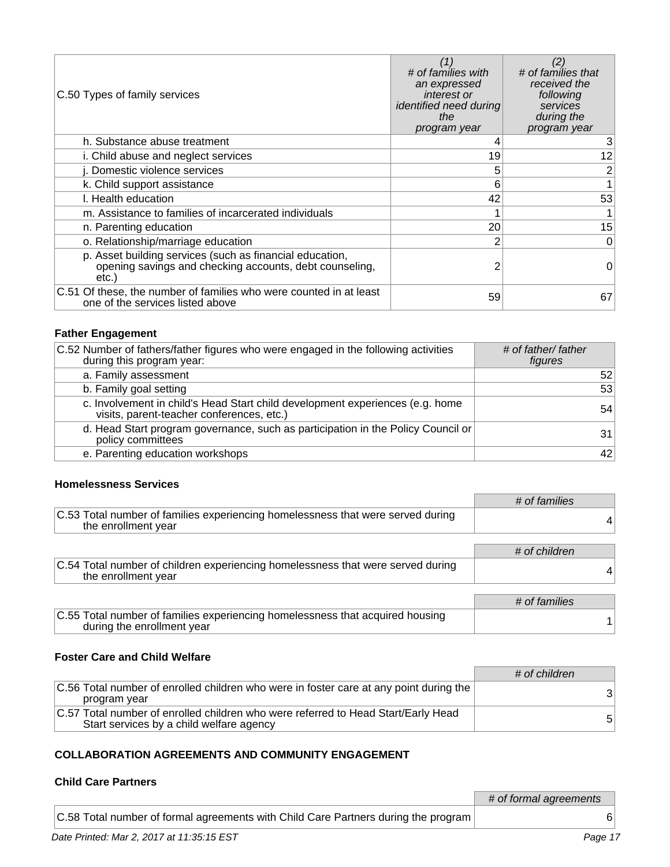| C.50 Types of family services                                                                                                | (1)<br># of families with<br>an expressed<br><i>interest or</i><br>identified need during<br>the<br>program year | # of families that<br>received the<br>following<br>services<br>during the<br>program year |
|------------------------------------------------------------------------------------------------------------------------------|------------------------------------------------------------------------------------------------------------------|-------------------------------------------------------------------------------------------|
| h. Substance abuse treatment                                                                                                 |                                                                                                                  | 3                                                                                         |
| i. Child abuse and neglect services                                                                                          | 19                                                                                                               | 12                                                                                        |
| j. Domestic violence services                                                                                                | 5                                                                                                                | 2                                                                                         |
| k. Child support assistance                                                                                                  | 6                                                                                                                |                                                                                           |
| I. Health education                                                                                                          | 42                                                                                                               | 53                                                                                        |
| m. Assistance to families of incarcerated individuals                                                                        |                                                                                                                  |                                                                                           |
| n. Parenting education                                                                                                       | 20                                                                                                               | 15                                                                                        |
| o. Relationship/marriage education                                                                                           | 2                                                                                                                | 0                                                                                         |
| p. Asset building services (such as financial education,<br>opening savings and checking accounts, debt counseling,<br>etc.) | 2                                                                                                                | 0                                                                                         |
| C.51 Of these, the number of families who were counted in at least<br>one of the services listed above                       | 59                                                                                                               | 67                                                                                        |

# **Father Engagement**

| C.52 Number of fathers/father figures who were engaged in the following activities<br>during this program year:            | # of father/ father<br>figures |
|----------------------------------------------------------------------------------------------------------------------------|--------------------------------|
| a. Family assessment                                                                                                       | 52                             |
| b. Family goal setting                                                                                                     | 53                             |
| c. Involvement in child's Head Start child development experiences (e.g. home<br>visits, parent-teacher conferences, etc.) | 54                             |
| d. Head Start program governance, such as participation in the Policy Council or<br>policy committees                      | 31                             |
| e. Parenting education workshops                                                                                           | 42                             |

### **Homelessness Services**

|                                                                                                             | # of families |
|-------------------------------------------------------------------------------------------------------------|---------------|
| C.53 Total number of families experiencing homelessness that were served during<br>the enrollment year      |               |
|                                                                                                             |               |
|                                                                                                             | # of children |
| C.54 Total number of children experiencing homelessness that were served during<br>the enrollment year      |               |
|                                                                                                             |               |
|                                                                                                             | # of families |
| C.55 Total number of families experiencing homelessness that acquired housing<br>during the enrollment year |               |

### **Foster Care and Child Welfare**

|                                                                                                                               | # of children |
|-------------------------------------------------------------------------------------------------------------------------------|---------------|
| C.56 Total number of enrolled children who were in foster care at any point during the<br>program year                        | 3             |
| C.57 Total number of enrolled children who were referred to Head Start/Early Head<br>Start services by a child welfare agency |               |

### **COLLABORATION AGREEMENTS AND COMMUNITY ENGAGEMENT**

### **Child Care Partners**

|                                                                                    | # of formal agreements |
|------------------------------------------------------------------------------------|------------------------|
| C.58 Total number of formal agreements with Child Care Partners during the program |                        |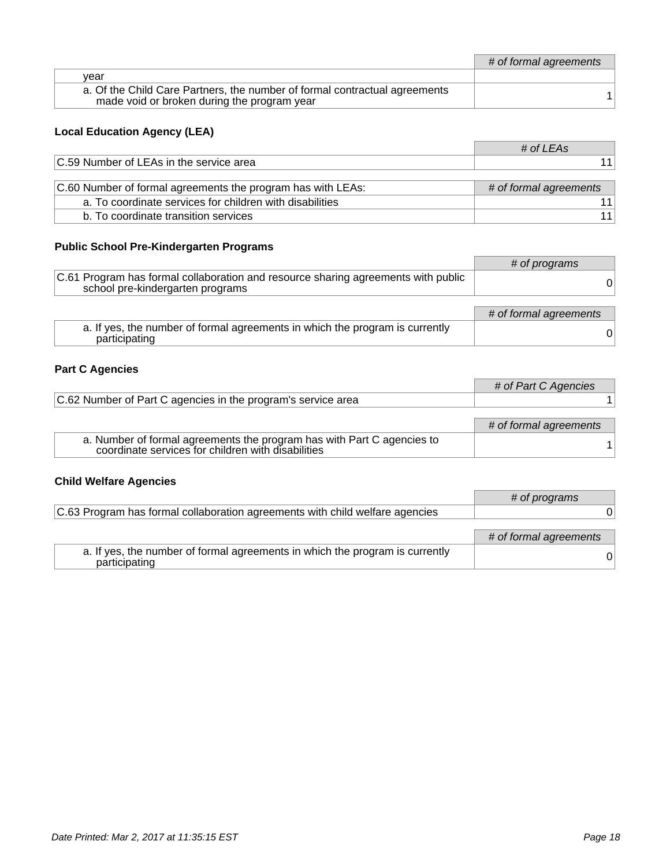|                                                                                                                           | # of formal agreements |
|---------------------------------------------------------------------------------------------------------------------------|------------------------|
| vear                                                                                                                      |                        |
| a. Of the Child Care Partners, the number of formal contractual agreements<br>made void or broken during the program year |                        |

# **Local Education Agency (LEA)**

|                                                             | # of LEAs              |
|-------------------------------------------------------------|------------------------|
| C.59 Number of LEAs in the service area                     |                        |
|                                                             |                        |
| C.60 Number of formal agreements the program has with LEAs: | # of formal agreements |
| a. To coordinate services for children with disabilities    |                        |
| b. To coordinate transition services                        |                        |

# **Public School Pre-Kindergarten Programs**

|                                                                                                                       | # of programs          |
|-----------------------------------------------------------------------------------------------------------------------|------------------------|
| C.61 Program has formal collaboration and resource sharing agreements with public<br>school pre-kindergarten programs | 01                     |
|                                                                                                                       | # of formal agreements |
| a. If yes, the number of formal agreements in which the program is currently<br>participating                         | 01                     |

# **Part C Agencies**

|                                                                                                                              | # of Part C Agencies   |
|------------------------------------------------------------------------------------------------------------------------------|------------------------|
| C.62 Number of Part C agencies in the program's service area                                                                 |                        |
|                                                                                                                              | # of formal agreements |
|                                                                                                                              |                        |
| a. Number of formal agreements the program has with Part C agencies to<br>coordinate services for children with disabilities |                        |

# **Child Welfare Agencies**

|                                                                                               | # of programs          |
|-----------------------------------------------------------------------------------------------|------------------------|
| C.63 Program has formal collaboration agreements with child welfare agencies                  |                        |
|                                                                                               |                        |
|                                                                                               | # of formal agreements |
| a. If yes, the number of formal agreements in which the program is currently<br>participating |                        |

h